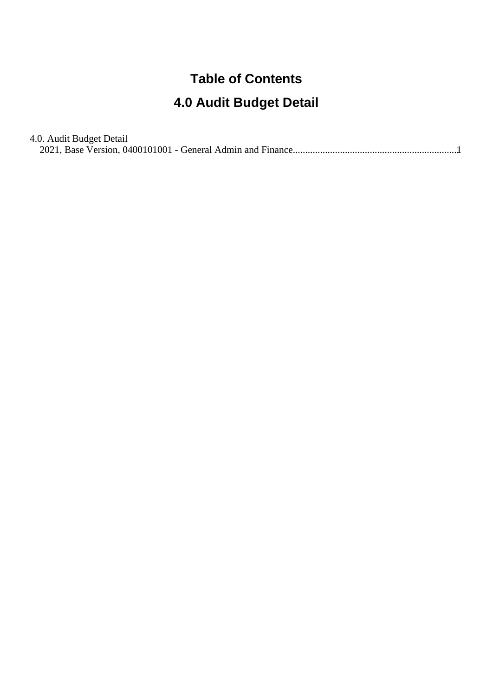## **Table of Contents**

## **4.0 Audit Budget Detail**

| 4.0. Audit Budget Detail |  |
|--------------------------|--|
|                          |  |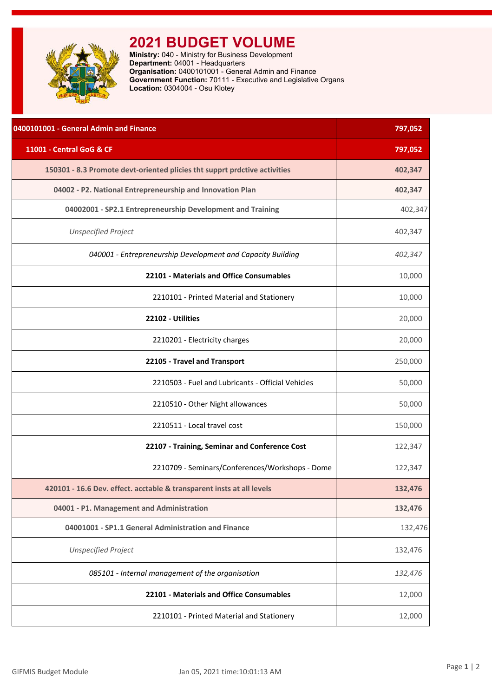<span id="page-1-0"></span>

## **2021 BUDGET VOLUME**

**Ministry:** 040 - Ministry for Business Development **Department:** 04001 - Headquarters **Organisation:** 0400101001 - General Admin and Finance **Government Function:** 70111 - Executive and Legislative Organs **Location:** 0304004 - Osu Klotey

| 0400101001 - General Admin and Finance                                    | 797,052 |
|---------------------------------------------------------------------------|---------|
| 11001 - Central GoG & CF                                                  | 797,052 |
| 150301 - 8.3 Promote devt-oriented plicies tht supprt prdctive activities | 402,347 |
| 04002 - P2. National Entrepreneurship and Innovation Plan                 | 402,347 |
| 04002001 - SP2.1 Entrepreneurship Development and Training                | 402,347 |
| <b>Unspecified Project</b>                                                | 402,347 |
| 040001 - Entrepreneurship Development and Capacity Building               | 402,347 |
| 22101 - Materials and Office Consumables                                  | 10,000  |
| 2210101 - Printed Material and Stationery                                 | 10,000  |
| 22102 - Utilities                                                         | 20,000  |
| 2210201 - Electricity charges                                             | 20,000  |
| 22105 - Travel and Transport                                              | 250,000 |
| 2210503 - Fuel and Lubricants - Official Vehicles                         | 50,000  |
| 2210510 - Other Night allowances                                          | 50,000  |
| 2210511 - Local travel cost                                               | 150,000 |
| 22107 - Training, Seminar and Conference Cost                             | 122,347 |
| 2210709 - Seminars/Conferences/Workshops - Dome                           | 122,347 |
| 420101 - 16.6 Dev. effect. acctable & transparent insts at all levels     | 132,476 |
| 04001 - P1. Management and Administration                                 | 132,476 |
| 04001001 - SP1.1 General Administration and Finance                       | 132,476 |
| <b>Unspecified Project</b>                                                | 132,476 |
| 085101 - Internal management of the organisation                          | 132,476 |
| 22101 - Materials and Office Consumables                                  | 12,000  |
| 2210101 - Printed Material and Stationery                                 | 12,000  |